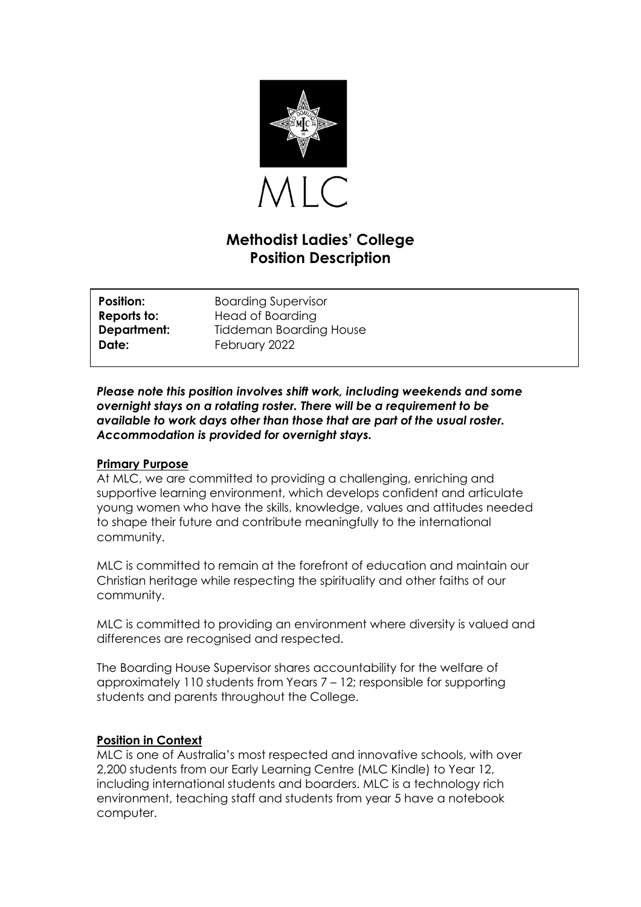

# **Methodist Ladies' College Position Description**

| <b>Position:</b> | <b>Boarding Supervisor</b> |
|------------------|----------------------------|
| Reports to:      | Head of Boarding           |
| Department:      | Tiddeman Boarding House    |
| Date:            | February 2022              |

*Please note this position involves shift work, including weekends and some overnight stays on a rotating roster. There will be a requirement to be available to work days other than those that are part of the usual roster. Accommodation is provided for overnight stays.*

#### **Primary Purpose**

At MLC, we are committed to providing a challenging, enriching and supportive learning environment, which develops confident and articulate young women who have the skills, knowledge, values and attitudes needed to shape their future and contribute meaningfully to the international community.

MLC is committed to remain at the forefront of education and maintain our Christian heritage while respecting the spirituality and other faiths of our community.

MLC is committed to providing an environment where diversity is valued and differences are recognised and respected.

The Boarding House Supervisor shares accountability for the welfare of approximately 110 students from Years 7 – 12; responsible for supporting students and parents throughout the College.

### **Position in Context**

MLC is one of Australia's most respected and innovative schools, with over 2,200 students from our Early Learning Centre (MLC Kindle) to Year 12, including international students and boarders. MLC is a technology rich environment, teaching staff and students from year 5 have a notebook computer.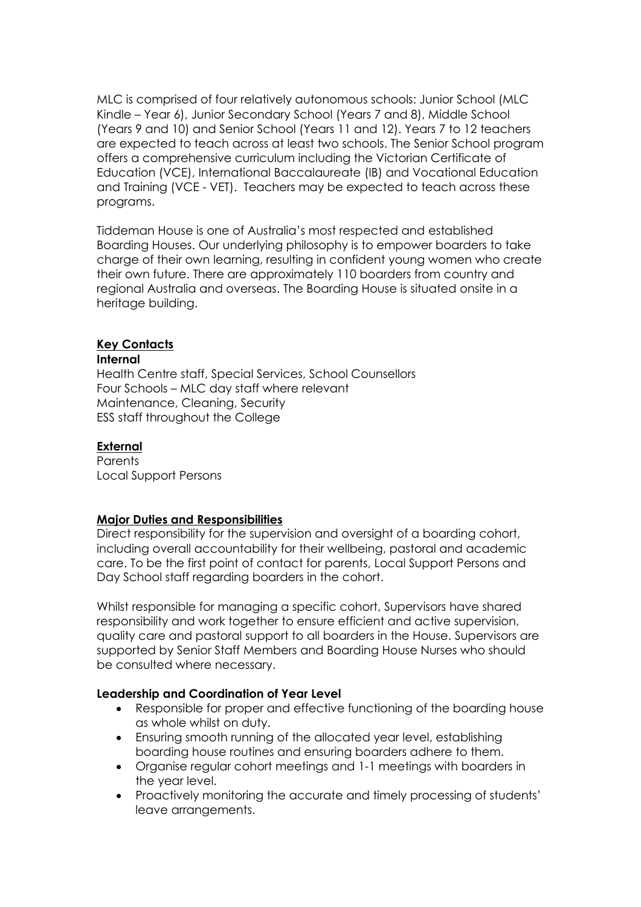MLC is comprised of four relatively autonomous schools: Junior School (MLC Kindle – Year 6), Junior Secondary School (Years 7 and 8), Middle School (Years 9 and 10) and Senior School (Years 11 and 12). Years 7 to 12 teachers are expected to teach across at least two schools. The Senior School program offers a comprehensive curriculum including the Victorian Certificate of Education (VCE), International Baccalaureate (IB) and Vocational Education and Training (VCE - VET). Teachers may be expected to teach across these programs.

Tiddeman House is one of Australia's most respected and established Boarding Houses. Our underlying philosophy is to empower boarders to take charge of their own learning, resulting in confident young women who create their own future. There are approximately 110 boarders from country and regional Australia and overseas. The Boarding House is situated onsite in a heritage building.

#### **Key Contacts**

#### **Internal**

Health Centre staff, Special Services, School Counsellors Four Schools – MLC day staff where relevant Maintenance, Cleaning, Security ESS staff throughout the College

#### **External**

**Parents** Local Support Persons

#### **Major Duties and Responsibilities**

Direct responsibility for the supervision and oversight of a boarding cohort, including overall accountability for their wellbeing, pastoral and academic care. To be the first point of contact for parents, Local Support Persons and Day School staff regarding boarders in the cohort.

Whilst responsible for managing a specific cohort, Supervisors have shared responsibility and work together to ensure efficient and active supervision, quality care and pastoral support to all boarders in the House. Supervisors are supported by Senior Staff Members and Boarding House Nurses who should be consulted where necessary.

### **Leadership and Coordination of Year Level**

- Responsible for proper and effective functioning of the boarding house as whole whilst on duty.
- Ensuring smooth running of the allocated year level, establishing boarding house routines and ensuring boarders adhere to them.
- Organise regular cohort meetings and 1-1 meetings with boarders in the year level.
- Proactively monitoring the accurate and timely processing of students' leave arrangements.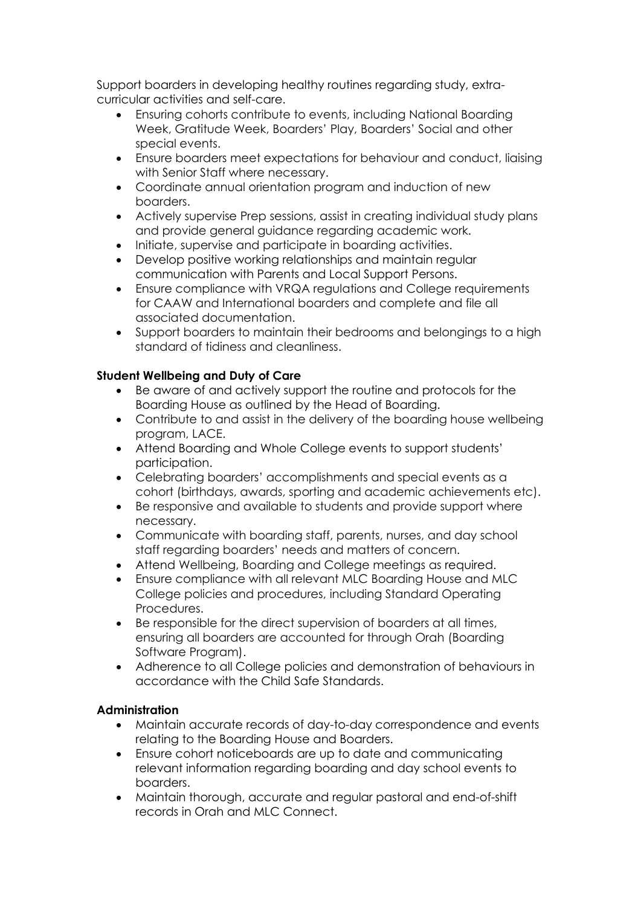Support boarders in developing healthy routines regarding study, extracurricular activities and self-care.

- Ensuring cohorts contribute to events, including National Boarding Week, Gratitude Week, Boarders' Play, Boarders' Social and other special events.
- Ensure boarders meet expectations for behaviour and conduct, liaising with Senior Staff where necessary.
- Coordinate annual orientation program and induction of new boarders.
- Actively supervise Prep sessions, assist in creating individual study plans and provide general guidance regarding academic work.
- Initiate, supervise and participate in boarding activities.
- Develop positive working relationships and maintain regular communication with Parents and Local Support Persons.
- Ensure compliance with VRQA regulations and College requirements for CAAW and International boarders and complete and file all associated documentation.
- Support boarders to maintain their bedrooms and belongings to a high standard of tidiness and cleanliness.

# **Student Wellbeing and Duty of Care**

- Be aware of and actively support the routine and protocols for the Boarding House as outlined by the Head of Boarding.
- Contribute to and assist in the delivery of the boarding house wellbeing program, LACE.
- Attend Boarding and Whole College events to support students' participation.
- Celebrating boarders' accomplishments and special events as a cohort (birthdays, awards, sporting and academic achievements etc).
- Be responsive and available to students and provide support where necessary.
- Communicate with boarding staff, parents, nurses, and day school staff regarding boarders' needs and matters of concern.
- Attend Wellbeing, Boarding and College meetings as required.
- Ensure compliance with all relevant MLC Boarding House and MLC College policies and procedures, including Standard Operating Procedures.
- Be responsible for the direct supervision of boarders at all times, ensuring all boarders are accounted for through Orah (Boarding Software Program).
- Adherence to all College policies and demonstration of behaviours in accordance with the Child Safe Standards.

# **Administration**

- Maintain accurate records of day-to-day correspondence and events relating to the Boarding House and Boarders.
- Ensure cohort noticeboards are up to date and communicating relevant information regarding boarding and day school events to boarders.
- Maintain thorough, accurate and regular pastoral and end-of-shift records in Orah and MLC Connect.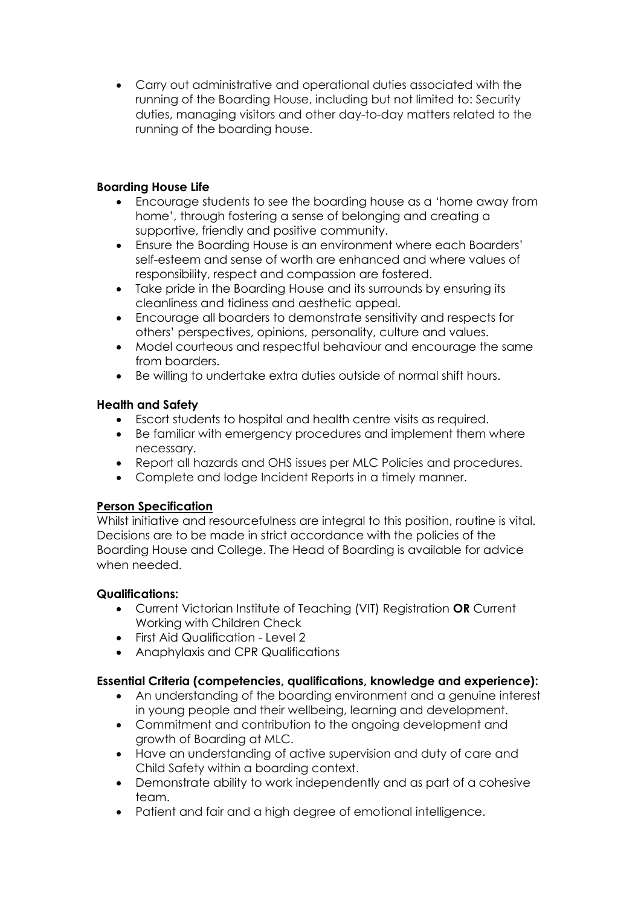• Carry out administrative and operational duties associated with the running of the Boarding House, including but not limited to: Security duties, managing visitors and other day-to-day matters related to the running of the boarding house.

# **Boarding House Life**

- Encourage students to see the boarding house as a 'home away from home', through fostering a sense of belonging and creating a supportive, friendly and positive community.
- Ensure the Boarding House is an environment where each Boarders' self-esteem and sense of worth are enhanced and where values of responsibility, respect and compassion are fostered.
- Take pride in the Boarding House and its surrounds by ensuring its cleanliness and tidiness and aesthetic appeal.
- Encourage all boarders to demonstrate sensitivity and respects for others' perspectives, opinions, personality, culture and values.
- Model courteous and respectful behaviour and encourage the same from boarders.
- Be willing to undertake extra duties outside of normal shift hours.

# **Health and Safety**

- Escort students to hospital and health centre visits as required.
- Be familiar with emergency procedures and implement them where necessary.
- Report all hazards and OHS issues per MLC Policies and procedures.
- Complete and lodge Incident Reports in a timely manner.

# **Person Specification**

Whilst initiative and resourcefulness are integral to this position, routine is vital. Decisions are to be made in strict accordance with the policies of the Boarding House and College. The Head of Boarding is available for advice when needed.

### **Qualifications:**

- Current Victorian Institute of Teaching (VIT) Registration **OR** Current Working with Children Check
- First Aid Qualification Level 2
- Anaphylaxis and CPR Qualifications

### **Essential Criteria (competencies, qualifications, knowledge and experience):**

- An understanding of the boarding environment and a genuine interest in young people and their wellbeing, learning and development.
- Commitment and contribution to the ongoing development and growth of Boarding at MLC.
- Have an understanding of active supervision and duty of care and Child Safety within a boarding context.
- Demonstrate ability to work independently and as part of a cohesive team.
- Patient and fair and a high degree of emotional intelligence.